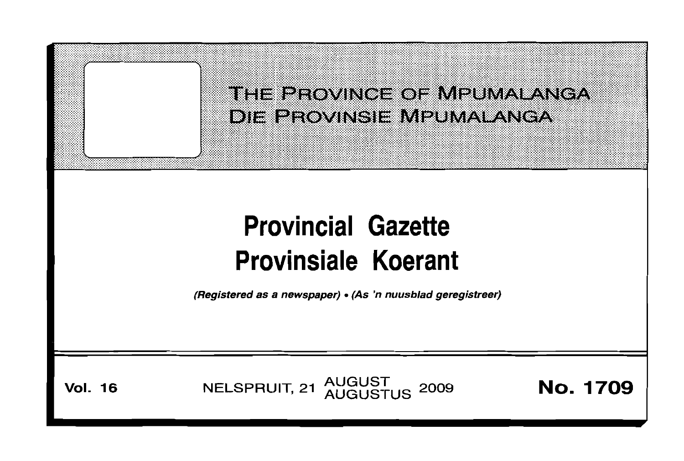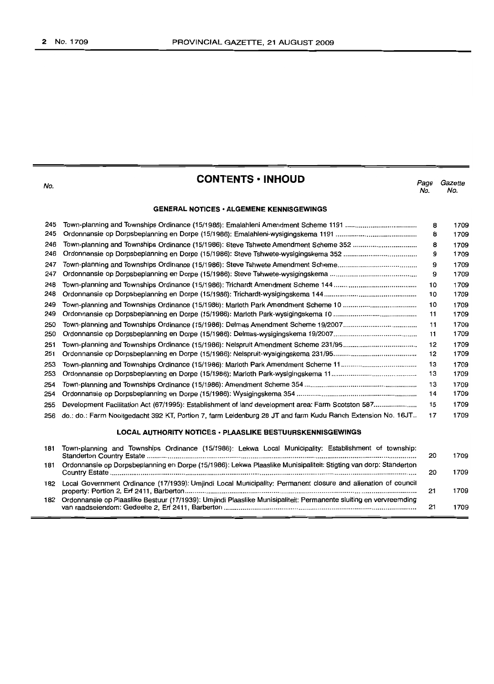| No.                                             | <b>CONTENTS · INHOUD</b>                                                                                                                                                        | Page<br>No. | Gazette<br>No.       |  |  |
|-------------------------------------------------|---------------------------------------------------------------------------------------------------------------------------------------------------------------------------------|-------------|----------------------|--|--|
| <b>GENERAL NOTICES · ALGEMENE KENNISGEWINGS</b> |                                                                                                                                                                                 |             |                      |  |  |
| 245<br>245<br>246                               | Town-planning and Townships Ordinance (15/1986): Steve Tshwete Amendment Scheme 352                                                                                             | 8<br>8<br>8 | 1709<br>1709<br>1709 |  |  |
| 246<br>247                                      |                                                                                                                                                                                 | 9           | 1709                 |  |  |
| 247                                             |                                                                                                                                                                                 | 9<br>9      | 1709<br>1709         |  |  |
| 248<br>248                                      |                                                                                                                                                                                 | 10<br>10    | 1709<br>1709         |  |  |
| 249<br>249                                      |                                                                                                                                                                                 | 10<br>11    | 1709<br>1709         |  |  |
| 250<br>250                                      |                                                                                                                                                                                 | 11<br>11    | 1709<br>1709         |  |  |
| 251<br>251                                      |                                                                                                                                                                                 | 12<br>12    | 1709<br>1709         |  |  |
| 253<br>253                                      |                                                                                                                                                                                 | 13<br>13    | 1709<br>1709         |  |  |
| 254<br>254                                      |                                                                                                                                                                                 | 13<br>14    | 1709<br>1709         |  |  |
| 255                                             | Development Facilitation Act (67/1995): Establishment of land development area: Farm Scotston 587                                                                               | 15          | 1709                 |  |  |
| 256                                             | do.: do.: Farm Nooitgedacht 392 KT, Portion 7, farm Leidenburg 28 JT and farm Kudu Ranch Extension No. 16JT<br><b>LOCAL AUTHORITY NOTICES · PLAASLIKE BESTUURSKENNISGEWINGS</b> | 17          | 1709                 |  |  |
|                                                 |                                                                                                                                                                                 |             |                      |  |  |
| 181                                             | Town-planning and Townships Ordinance (15/1986): Lekwa Local Municipality: Establishment of township:                                                                           | 20          | 1709                 |  |  |
| 181                                             | Ordonnansie op Dorpsbeplanning en Dorpe (15/1986): Lekwa Plaaslike Munisipaliteit: Stigting van dorp: Standerton                                                                | 20          | 1709                 |  |  |
| 182                                             | Local Government Ordinance (17/1939): Umjindi Local Municipality: Permanent closure and alienation of council                                                                   | 21          | 1709                 |  |  |

182 Ordonnansie op Plaaslike Bestuur (17/1939): Umjindi Plaaslike Munisipaliteit: Permanente sluiting en vervreemding

van raadseiendom: Gedeelte 2, Erf 2411, Barberton 21 1709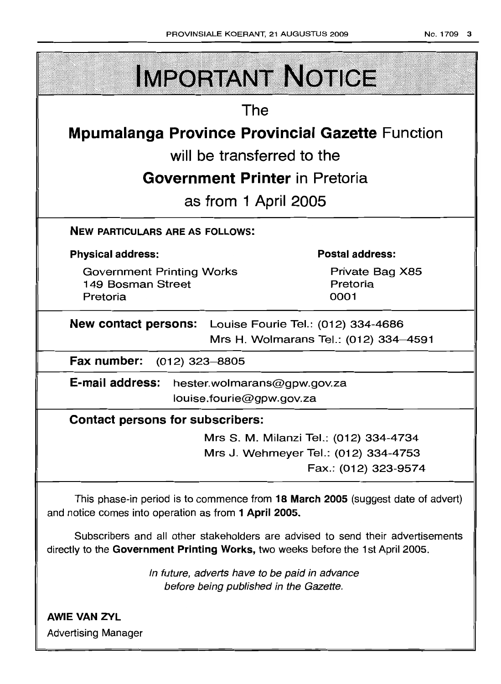| <b>IMPORTANT NOTICE</b>                                                                                                                                            |  |  |  |  |  |
|--------------------------------------------------------------------------------------------------------------------------------------------------------------------|--|--|--|--|--|
| The                                                                                                                                                                |  |  |  |  |  |
| <b>Mpumalanga Province Provincial Gazette Function</b>                                                                                                             |  |  |  |  |  |
| will be transferred to the                                                                                                                                         |  |  |  |  |  |
| <b>Government Printer</b> in Pretoria                                                                                                                              |  |  |  |  |  |
| as from 1 April 2005                                                                                                                                               |  |  |  |  |  |
| <b>NEW PARTICULARS ARE AS FOLLOWS:</b>                                                                                                                             |  |  |  |  |  |
| <b>Postal address:</b><br><b>Physical address:</b>                                                                                                                 |  |  |  |  |  |
| <b>Government Printing Works</b><br>Private Bag X85<br>Pretoria<br>149 Bosman Street<br>0001<br>Pretoria                                                           |  |  |  |  |  |
| New contact persons:<br>Louise Fourie Tel.: (012) 334-4686<br>Mrs H. Wolmarans Tel.: (012) 334-4591                                                                |  |  |  |  |  |
| Fax number: (012) 323-8805                                                                                                                                         |  |  |  |  |  |
| E-mail address: hester.wolmarans@gpw.gov.za<br>louise.fourie@gpw.gov.za                                                                                            |  |  |  |  |  |
| <b>Contact persons for subscribers:</b>                                                                                                                            |  |  |  |  |  |
| Mrs S. M. Milanzi Tel.: (012) 334-4734                                                                                                                             |  |  |  |  |  |
| Mrs J. Wehmeyer Tel.: (012) 334-4753<br>Fax.: (012) 323-9574                                                                                                       |  |  |  |  |  |
| This phase-in period is to commence from 18 March 2005 (suggest date of advert)<br>and notice comes into operation as from 1 April 2005.                           |  |  |  |  |  |
| Subscribers and all other stakeholders are advised to send their advertisements<br>directly to the Government Printing Works, two weeks before the 1st April 2005. |  |  |  |  |  |
| In future, adverts have to be paid in advance<br>before being published in the Gazette.                                                                            |  |  |  |  |  |
| <b>AWIE VAN ZYL</b><br><b>Advertising Manager</b>                                                                                                                  |  |  |  |  |  |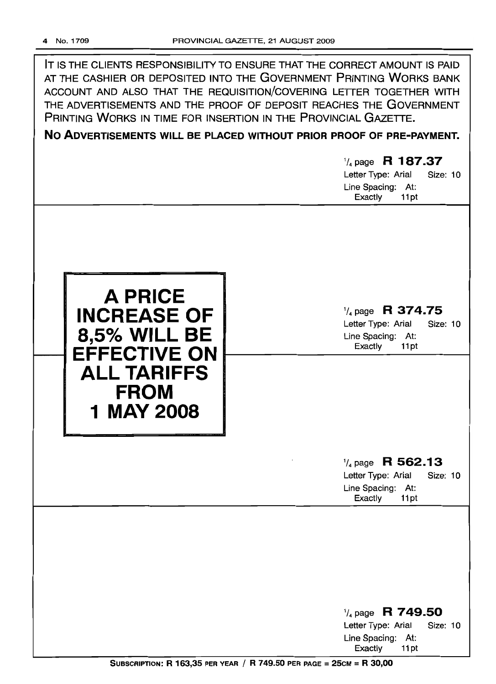IT IS THE CLIENTS RESPONSIBILITY TO ENSURE THAT THE CORRECT AMOUNT IS PAID AT THE CASHIER OR DEPOSITED INTO THE GOVERNMENT PRINTING WORKS BANK ACCOUNT AND ALSO THAT THE REQUISITION/COVERING LETTER TOGETHER WITH THE ADVERTISEMENTS AND THE PROOF OF DEPOSIT REACHES THE GOVERNMENT PRINTING WORKS IN TIME FOR INSERTION IN THE PROVINCIAL GAZETTE.

# **No ADVERTISEMENTS WILL BE PLACED WITHOUT PRIOR PROOF OF PRE-PAYMENT.**

# 1/4 page **R 187.37**

Letter Type: Arial Size: 10 Line Spacing: At: Exactly 11pt



# 1/4 page **R 374.75**

Letter Type: Arial Size: 10 Line Spacing: At: Exactly 11 pt

# 1/4page **R 562.13**

Letter Type: Arial Size: 10 Line Spacing: At: Exactly 11 pt

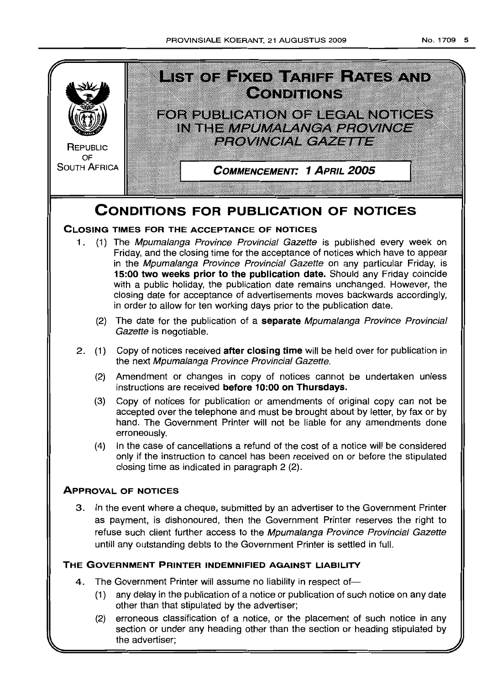

# **CLOSING TIMES FOR THE ACCEPTANCE OF NOTICES**

- 1. (1) The Mpumalanga Province Provincial Gazette is published every week on Friday, and the closing time for the acceptance of notices which have to appear in the Mpumalanga Province Provincial Gazette on any particular Friday, is **15:00 two weeks prior to the publication date.** Should any Friday coincide with a public holiday, the publication date remains unchanged. However, the closing date for acceptance of advertisements moves backwards accordingly, in order to allow for ten working days prior to the publication date.
	- (2) The date for the publication of a **separate** Mpumalanga Province Provincial Gazette is negotiable.
- 2 (1) Copy of notices received **after closing time** will be held over for publication in the next Mpumalanga Province Provincial Gazette.
	- (2) Amendment or changes in copy of notices cannot be undertaken unless instructions are received **before 10:00 on Thursdays.**
	- (3) Copy of notices for publication or amendments of original copy can not be accepted over the telephone and must be brought about by letter, by fax or by hand. The Government Printer will not be liable for any amendments done erroneously.
	- (4) In the case of cancellations a refund of the cost of a notice will be considered only if the instruction to cancel has been received on or before the stipulated closing time as indicated in paragraph 2 (2)

# **ApPROVAL OF NOTICES**

3 In the event where a cheque, submitted by an advertiser to the Government Printer as payment, is dishonoured, then the Government Printer reserves the right to refuse such client further access to the Mpumalanga Province Provincial Gazette untill any outstanding debts to the Government Printer is settled in full.

# **THE GOVERNMENT PRIN"rER INDEMNIFIED AGAINST LIABILITY**

- 4. The Government Printer will assume no liability in respect of-
	- (1) any delay in the publication of a notice or publication of such notice on any date other than that stipulated by the advertiser;
	- (2) erroneous classification of a notice, or the placement of such notice in any section or under any heading other than the section or heading stipulated by the advertiser;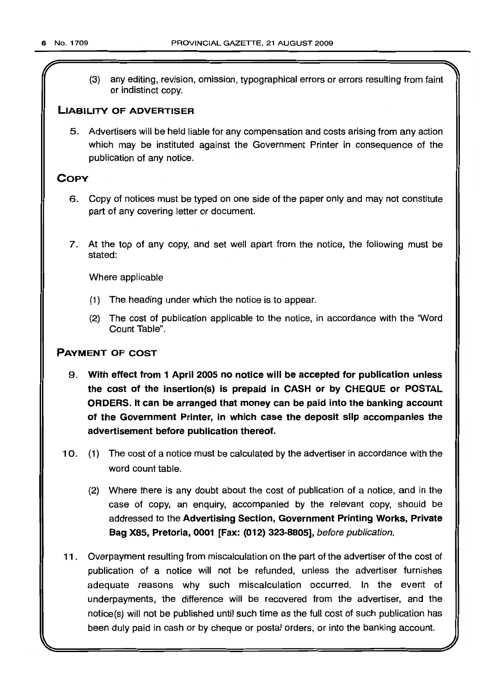(3) any editing, revision, omission, typographical errors or errors resulting from faint or indistinct copy.

# LIABILITY OF ADVERTISER

5. Advertisers will be held liable for any compensation and costs arising from any action which may be instituted against the Government Printer in consequence of the publication of any notice.

# **COPY**

- 6. Copy of notices must be typed on one side of the paper only and may not constitute part of any covering letter or document.
- 7. At the top of any copy, and set well apart from the notice, the following must be stated:

Where applicable

- (1) The heading under which the notice is to appear.
- (2) The cost of publication applicable to the notice, in accordance with the "Word Count Table".

# PAYMENT OF COST

- 9. With effect from 1 April 2005 no notice will be accepted for publication unless the cost of the insertion(s) is prepaid in CASH or by CHEQUE or POSTAL ORDERS. It can be arranged that money can be paid into the banking account of the Government Printer, in which case the deposit slip accompanies the advertisement before publication thereof.
- 10. (1) The cost of a notice must be calculated by the advertiser in accordance with the word count table.
	- (2) Where there is any doubt about the cost of publication of a notice, and in the case of copy, an enquiry, accompanied by the relevant copy, should be addressed to the Advertising Section, Government Printing Works, Private Bag X85, Pretoria, 0001 [Fax: (012) 323-8805], before publication.
- 11. Overpayment resulting from miscalculation on the part of the advertiser of the cost of publication of a notice will not be refunded, unless the advertiser furnishes adequate reasons why such miscalculation occurred. In the event of underpayments, the difference will be recovered from the advertiser, and the notice(s} will not be published until such time as the full cost of such publication has been duly paid in cash or by cheque or postal orders, or into the banking account.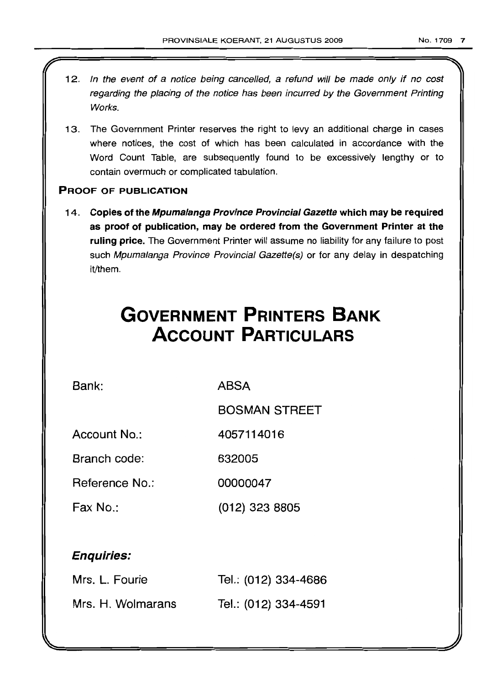- 12. In the event of a notice being cancelled, a refund will be made only if no cost regarding the placing of the notice has been incurred by the Government Printing Works.
- 13. The Government Printer reserves the right to levy an additional charge in cases where notices, the cost of which has been calculated in accordance with the Word Count Table, are subsequently found to be excessively lengthy or to contain overmuch or complicated tabulation.

# PROOF OF PUBLICATION

14. Copies of the Mpumalanga Province Provincial Gazette which may be required as proof of publication, may be ordered from the Government Printer at the ruling price. The Government Printer will assume no liability for any failure to post such Mpumalanga Province Provincial Gazette(s) or for any delay in despatching it/them.

# **GOVERNMENT PRINTERS BANK ACCOUNT PARTICULARS**

Bank: ABSA

BOSMAN STREET

Account No.: 4057114016

Branch code: 632005

Reference No.: 00000047

Fax No.: (012) 323 8805

# Enquiries:

| Mrs. L. Fourie    | Tel.: (012) 334-4686 |
|-------------------|----------------------|
| Mrs. H. Wolmarans | Tel.: (012) 334-4591 |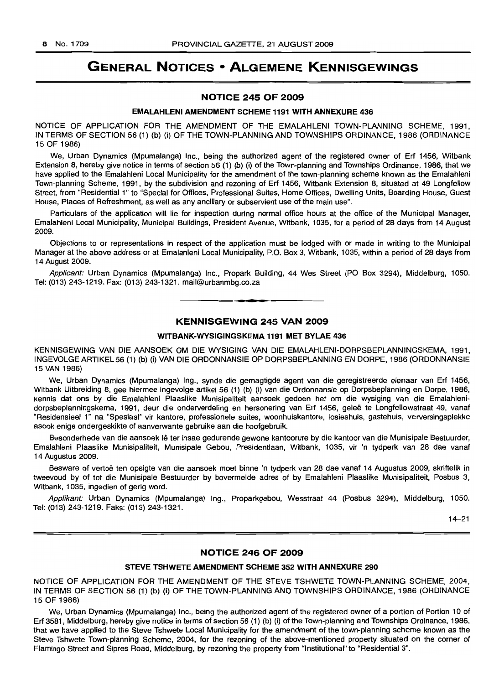# **GENERAL NOTICES • ALGEMENE KENNISGEWINGS**

# **NOTICE 245 OF 2009**

### **EMALAHLENI AMENDMENT SCHEME 1191 WITH ANNEXURE 436**

NOTICE OF APPLICATION FOR THE AMENDMENT OF THE EMALAHLENI TOWN-PLANNING SCHEME, 1991, IN TERMS OF SECTION 56 (1) (b) (i) OF THE TOWN-PLANNING AND TOWNSHIPS ORDINANCE, 1986 (ORDINANCE 15 OF 1986)

We, Urban Dynamics (Mpumalanga) Inc., being the authorized agent of the registered owner of Erf 1456, Witbank Extension 8, hereby give notice in terms of section 56 (1) (b) (i) of the Town-planning and Townships Ordinance, 1986, that we have applied to the Emalahleni Local Municipality for the amendment of the town-planning scheme known as the Emalahleni Town-planning Scheme, 1991, by the subdivision and rezoning of Erf 1456, Witbank Extension 8, situated at 49 Longfellow Street, from "Residential 1" to "Special for Offices, Professional Suites, Home Offices, Dwelling Units, Boarding House, Guest House, Places of Refreshment, as well as any ancillary or subservient use of the main use".

Particulars of the application will lie for inspection during normal office hours at the office of the Municipal Manager, Emalahleni Local Municipality, Municipal Buildings, President Avenue, Witbank, 1035, for a period of 28 days from 14 August 2009.

Objections to or representations in respect of the application must be lodged with or made in writing to the Municipal Manager at the above address or at Emalahleni Local Municipality, P.O. Box 3, Witbank, 1035, within a period of 28 days from 14 August 2009.

Applicant: Urban Dynamics (Mpumalanga) Inc., Propark Building, 44 Wes Street (PO Box 3294), Middelburg, 1050. Tel: (013) 243-1219. Fax: (013) 243-1321. mail@urbanmbg.co.za

# **KENNISGEWING 245 VAN 2009**

**. -**

### **WITBANK-WYSIGINGSKEMA 1191 MET BYLAE 436**

KENNISGEWING VAN DIE AANSOEK OM DIE WYSIGING VAN DIE EMALAHLENI-DORPSBEPLANNINGSKEMA, 1991, INGEVOLGEARTIKEL56 (1) (b) (i) VAN DIE ORDONNANSIE OP DORPSBEPLANNING EN DORPE, 1986 (ORDONNANSIE 15 VAN 1986)

We, Urban Dynamics (Mpumalanga) Ing., synde die gemagtigde agent van die geregistreerde eienaar van Erf 1456, Witbank Uitbreiding 8, gee hiermee ingevolge artikel 56 (1) (b) (i) van die Ordonnansie op Dorpsbeplanning en Dorpe, 1986, kennis dat ons by die Emalahleni Plaaslike Munisipaliteit aansoek gedoen het om die wysiging van die Emalahlenidorpsbeplanningskema, 1991, deur die onderverdeling en hersonering van Erf 1456, geleë te Longfellowstraat 49, vanaf "Residensieel 1" na "Spesiaal" vir kantore, professionele suites, woonhuiskantore, losieshuis, gastehuis, verversingsplekke asook enige ondergeskikte of aanverwante gebruike aan die hoofgebruik.

Besonderhede van die aansoek lê ter insae gedurende gewone kantoorure by die kantoor van die Munisipale Bestuurder, Emalahleni Plaaslike Munisipaliteit, Munisipale Gebou, Presidentlaan, Witbank, 1035, vir 'n tydperk van 28 dae vanaf 14 Augustus 2009.

Besware of vertoë ten opsigte van die aansoek moet binne 'n tydperk van 28 dae vanaf 14 Augustus 2009, skriftelik in tweevoud by of tot die Munisipale Bestuurder by bovermelde adres of by Emafahleni Plaaslike Munisipaliteit, Posbus 3, Witbank, 1035, ingedien of gerig word.

Applikant: Urban Dynamics (Mpumalanga) Ing., Proparkgebou, Wesstraat 44 (Posbus 3294), Middelburg, 1050. Tel: (013) 243-1219. Faks: (013) 243-1321.

 $14 - 21$ 

# **NOTICE 246 OF 2009**

#### **STEVE TSHWETE AMENDMENT SCHEME 352 WITH ANNEXURE 290**

NOTICE OF APPLICATION FOR THE AMENDMENT OF THE STEVE TSHWETE TOWN-PLANNING SCHEME, 2004, IN TERMS OF SECTION 56 (1) (b) (i) OF THE TOWN-PLANNING AND TOWNSHIPS ORDINANCE, 1986 (ORDINANCE 15 OF 1986)

We, Urban Dynamics (Mpumalanga) Inc., being the authorized agent of the registered owner of a portion of Portion 10 of Erf 3581, Middelburg, hereby give notice in terms of section 56 (1) (b) (i) of the Town-planning and Townships Ordinance, 1986, that we have applied to the Steve Tshwete Local Municipality for the amendment of the town-planning scheme known as the Steve Tshwete Town-planning Scheme, 2004, for the rezoning of the above-mentioned property situated on the corner of Flamingo Street and Sipres Road, Middelburg, by rezoning the property from "Institutional" to "Residential 3".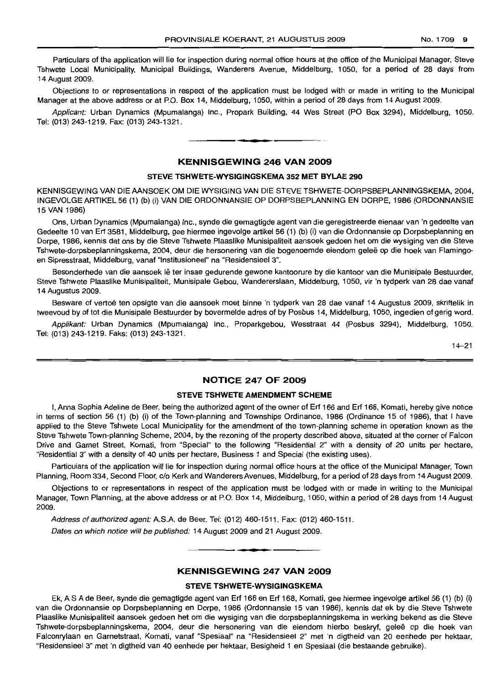Particulars of the application will lie for inspection during normal office hours at the office of the Municipal Manager, Steve Tshwete Local Municipality, Municipal Buildings, Wanderers Avenue, Middelburg, 1050, for a period of 28 days from 14 August 2009.

Objections to or representations in respect of the application must be lodged with or made in writing to the Municipal Manager at the above address or at P.O. Box 14, Middelburg, 1050, within a period of 28 days from 14 August 2009.

Applicant: Urban Dynamics (Mpumalanga) Inc., Propark Building, 44 Wes Street (PO Box 3294), Middelburg, 1050. Tel: (013) 243-1219. Fax: (013) 243-1321.

### KENNISGEWING 246 VAN 2009

**• •**

#### STEVE TSHWETE-WYSIGINGSKEMA 352 MET BYLAE 290

KENNISGEWING VAN DIE AANSOEK OM DIE WYSIGING VAN DIE STEVE TSHWETE-DORPSBEPLANNINGSKEMA, 2004, INGEVOLGEARTIKEL56 (1) (b) (i) VAN DIE ORDONNANSIE OP DORPSBEPLANNING EN DORPE, 1986 (ORDONNANSIE 15 VAN 1986)

Ons, Urban Dynamics (Mpumalanga) Inc., synde die gemagtigde agent van die geregistreerde eienaar van 'n gedeelte van Gedeelte 10 van Erf 3581, Middelburg, gee hiermee ingevolge artikel 56 (1) (b) (i) van die Ordonnansie op Dorpsbeplanning en Dorpe, 1986, kennis dat ons by die Steve Tshwete Plaaslike Munisipaliteit aansoek gedoen het om die wysiging van die Steve Tshwete-dorpsbeplanningskema, 2004, deur die hersonering van die bogenoemde eiendom gelee op die hoek van Flamingoen Sipresstraat, Middelburg, vanaf "lnstttusioneel" na "Residensieel 3".

Besonderhede van die aansoek lê ter insae gedurende gewone kantoorure by die kantoor van die Munisipale Bestuurder, Steve Tshwete Plaaslike Munisipaliteit, Munisipale Gebou, Wandererslaan, Middelburg, 1050, vir 'n tydperk van 28 dae vanaf 14 Augustus 2009.

Besware of vertoë ten opsigte van die aansoek moet binne 'n tydperk van 28 dae vanaf 14 Augustus 2009, skriftelik in tweevoud by of tot die Munisipale Bestuurder by bovermelde adres of by Posbus 14, Middelburg, 1050, ingedien of gerig word.

Applikant: Urban Dynamics (Mpurnalanqa) Inc., Proparkgebou, Wesstraat 44 (Posbus 3294), Middelburg, 1050. Tel: (013) 243-1219. Faks: (013) 243-1321.

 $14 - 21$ 

### NOTICE 247 OF 2009

#### STEVE TSHWETE AMENDMENT SCHEME

I, Anna Sophia Adeline de Beer, being the authorized agent of the owner of Erf 166 and Erf 168, Komati, hereby give notice in terms of section 56 (1) (b) (i) of the Town-planning and Townships Ordinance, 1986 (Ordinance 15 of 1986), that I have applied to the Steve Tshwete Local Municipality for the amendment of the town-planning scheme in operation known as the Steve Tshwete Town-planning Scheme, 2004, by the rezoning of the property described above, situated at the corner of Falcon Drive and Garnet Street, Komati, from "Special" to the following "Residential 2" with a density of 20 units per hectare, "Residential 3" with a density of 40 units per hectare, Business 1 and Special (the existing uses).

Particulars of the application will lie for inspection during normal office hours at the office of the Municipal Manager, Town Planning, Room 334, Second Floor, c/o Kerk and Wanderers Avenues, Middelburg, for a period of 28 days from 14 August 2009.

Objections to or representations in respect of the application must be lodged with or made in writing to the Municipal Manager, Town Planning, at the above address or at P.O. Box 14, Middelburg, 1050, within a period of 28 days from 14 August 2009.

Address of authorized agent: A.SA de Beer. Tel: (012) 460-1511. Fax: (012) 460-1511.

Dates on which notice will be published: 14 August 2009 and 21 August 2009.

# KENNISGEWING 247 VAN 2009

**• I**

#### STEVE TSHWETE-WYSIGINGSKEMA

Ek, A S A de Beer, synde die gemagtigde agent van Erf 166 en Erf 168, Komati, gee hiermee ingevolge artikel 56 (1) (b) (i) van die Ordonnansie op Dorpsbeplanning en Dorpe, 1986 (Ordonnansie 15 van 1986), kennis dat ek by die Steve Tshwete Plaaslike Munisipaliteit aansoek gedoen het om die wysiging van die dorpsbeplanningskema in werking bekend as die Steve Tshwete-dorpsbeplanningskema, 2004, deur die hersonering van die eiendom hierbo beskryf, gelee op die hoek van Falconrylaan en Garnetstraat, Komati, vanaf "Spesiaal" na "Residensieel 2" met 'n digtheid van 20 eenhede per hektaar, "Residensieel 3" met 'n digtheid van 40 eenhede per hektaar, Besigheid 1 en Spesiaal (die bestaande gebruike).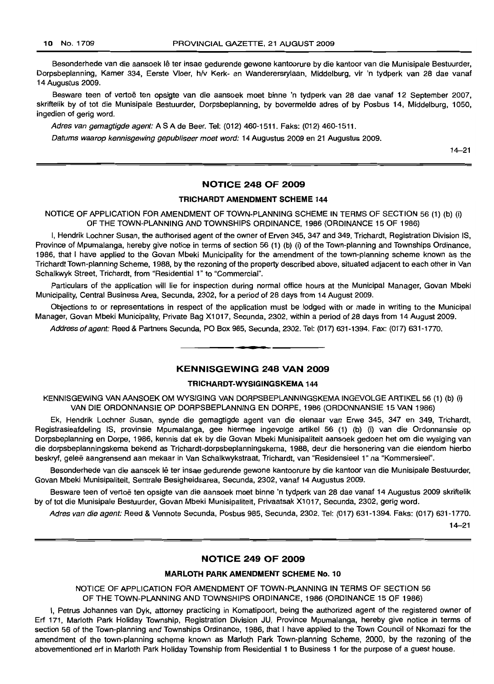Besonderhede van die aansoek lê ter insae gedurende gewone kantoorure by die kantoor van die Munisipale Bestuurder, Dorpsbeplanning, Kamer 334, Eerste Vloer, h/v Kerk- en Wanderersrylaan, Middelburg, vir 'n tydperk van 28 dae vanaf 14 Augustus 2009.

Besware teen of vertoë ten opsigte van die aansoek moet binne 'n tydperk van 28 dae vanaf 12 September 2007, skriftelik by of tot die Munisipale Bestuurder, Dorpsbeplanning, by bovermelde adres of by Posbus 14, Middelburg, 1050, ingedien of gerig word.

Adres van gemagtigde agent: A S A de Beer. Tel: (012) 460-1511. Faks: (012) 460-1511.

Datums waarop kennisgewing gepubliseer moet word: 14 Augustus 2009 en 21 Augustus 2009.

14-21

# NOTICE 248 OF 2009

### TRICHARDT AMENDMENT SCHEME 144

NOTICE OF APPLICATION FOR AMENDMENT OF TOWN-PLANNING SCHEME IN TERMS OF SECTION 56 (1) (b) (i) OF THE TOWN-PLANNING AND TOWNSHIPS ORDINANCE, 1986 (ORDINANCE 15 OF 1986)

I, Hendrik Lochner Susan, the authorised agent of the owner of Erven 345, 347 and 349, Trichardt, Registration Division IS, Province of Mpumalanga, hereby give notice in terms of section 56 (1) (b) (i) of the Town-planning and Townships Ordinance, 1986, that I have applied to the Govan Mbeki Municipality for the amendment of the town-planning scheme known as the Trichardt Town-planning Scheme, 1988, by the rezoning of the property described above, situated adjacent to each other in Van Schalkwyk Street, Trichardt, from "Residential 1" to "Commercial".

Particulars of the application will lie for inspection during normal office hours at the Municipal Manager, Govan Mbeki Municipality, Central Business Area, Secunda, 2302, for a period of 28 days from 14 August 2009.

Objections to or representations in respect of the application must be lodged with or made in writing to the Municipal Manager, Govan Mbeki Municipality, Private Bag X1017, Secunda, 2302, within a period of 28 days from 14 August 2009.

Address of agent: Reed & Partners Secunda, PO Box 985, Secunda, 2302. Tel: (017) 631-1394. Fax: (017) 631-1770.

# KENNISGEWING 248 VAN 2009

**•**

#### TRICHARDT-WYSIGINGSKEMA 144

KENNISGEWING VAN AANSOEK OM WYSIGING VAN DORPSBEPLANNINGSKEMA INGEVOLGE ARTIKEL 56 (1) (b) (i) VAN DIE ORDONNANSIE OP DORPSBEPLANNING EN DORPE, 1986 (ORDONNANSIE 15 VAN 1986)

Ek, Hendrik Lochner Susan, synde die gemagtigde agent van die eienaar van Erwe 345, 347 en 349, Trichardt, Registrasieafdeling IS, provinsie Mpumalanga, gee hiermee ingevolge artikel 56 (1) (b) (i) van die Ordonnansie op Dorpsbeplanning en Dorpe, 1986, kennis dat ek by die Govan Mbeki Munisipaliteit aansoek gedoen het om die wysiging van die dorpsbeplanningskema bekend as Trichardt-dorpsbeplanningskema, 1988, deur die hersonering van die eiendom hierbo beskryf, geles aangrensend aan mekaar in Van Schalkwykstraat, Trichardt, van "Residensieel 1" na "Kommersieel".

Besonderhede van die aansoek lê ter insae gedurende gewone kantoorure by die kantoor van die Munisipale Bestuurder, Govan Mbeki Munisipaliteit, Sentrale Besigheidsarea, Secunda, 2302, vanaf 14 Augustus 2009.

Besware teen of vertoë ten opsigte van die aansoek moet binne 'n tydperk van 28 dae vanaf 14 Augustus 2009 skriftelik by of tot die Munisipale Bestuurder, Govan Mbeki Munisipaliteit, Privaatsak X1017, Secunda, 2302, gerig word.

Adres van die agent: Reed & Vennote Secunda, Posbus 985, Secunda, 2302. Tel: (017) 631-1394. Faks: (017) 631-1770.

14-21

### NOTICE 249 OF 2009

#### MARLOTH PARK AMENDMENT SCHEME No. 10

NOTICE OF APPLICATION FOR AMENDMENT OF TOWN-PLANNING IN TERMS OF SECTION 56 OF THE TOWN-PLANNING AND TOWNSHIPS ORDINANCE, 1986 (ORDINANCE 15 OF 1986)

I, Petrus Johannes van Dyk, attorney practicing in Komatipoort, being the authorized agent of the registered owner of Ert 171, Marloth Park Holiday Township, Registration Division JU, Province Mpumalanga, hereby give notice in terms of section 56 of the Town-planning and Townships Ordinance, 1986, that I have applied to the Town Council of Nkomazi for the amendment of the town-planning scheme known as Marloth Park Town-planning Scheme, 2000, by the rezoning of the abovementioned ert in Marloth Park Holiday Township from Residential 1 to Business 1 for the purpose of a guest house.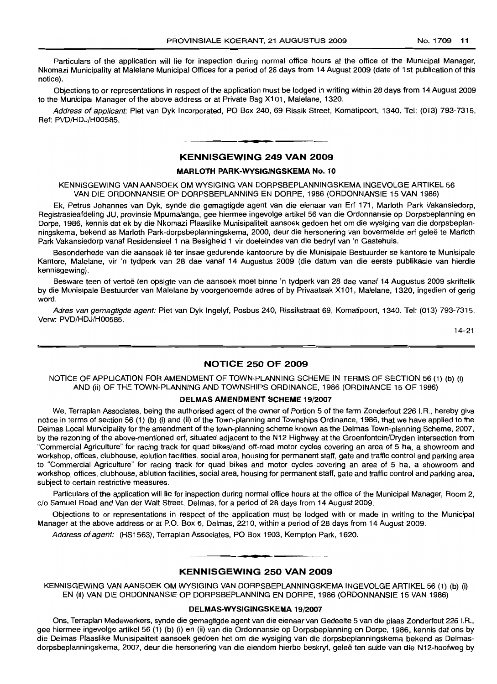Particulars of the application will lie for inspection during normal office hours at the office of the Municipal Manager, Nkomazi Municipality at Malelane Municipal Offices for a period of 28 days from 14 August 2009 (date of 1st publication of this notice).

Objections to or representations in respect of the application must be lodged in writing within 28 days from 14 August 2009 to the Municipal Manager of the above address or at Private Bag X101, Malelane, 1320.

Address of applicant: Piet van Dyk Incorporated, PO Box 240, 69 Rissik Street, Komatipoort, 1340. Tel: (013) 793-7315. Ref: PVD/HDJ/H00585.

# **• KENNISGEWING 249 VAN 2009**

#### MARLOTH **PARK-WYSIGINGSKEMA** NO.1 0

KENNISGEWING VAN AANSOEK OM WYSIGING VAN DORPSBEPLANNINGSKEMA INGEVOLGE ART/KEL 56 VAN DIE ORDONNANSIE OP DORPSBEPLANNING EN DORPE, 1986 (ORDONNANSIE 15 VAN 1986)

Ek, Petrus Johannes van Dyk, synde die gemagtigde agent van die eienaar van Erf 171, Marloth Park Vakansiedorp, Registrasieafdeling JU, provinsie Mpumalanga, gee hiermee ingevolge artikel 56 van die Ordonnansie op Dorpsbeplanning en Dorpe, 1986, kennis dat ek by die Nkomazi Plaaslike Munisipaliteit aansoek gedoen het om die wysiging van die dorpsbeplanningskema, bekend as Marloth Park-dorpsbeplanningskema, 2000, deur die hersonering van bovermelde erf gelee te Marloth Park Vakansiedorp vanaf Residensieel 1 na Besiqheid 1 vir doeleindes van die bedryf van 'n Gastehuis.

Besonderhede van die aansoek lê ter insae gedurende kantoorure by die Munisipale Bestuurder se kantore te Munisipale Kantore, Malelane, vir 'n tydperk van 28 dae vanaf 14 Augustus 2009 (die datum van die eerste publikasie van hierdie kennisgewing).

Besware teen of vertoë ten opsigte van die aansoek moet binne 'n tydperk van 28 dae vanaf 14 Augustus 2009 skriftelik by die Munisipale Bestuurder van Malelane by voorgenoemde adres of by Privaatsak Xl 01, Malelane, 1320, ingedien of gerig word.

Adres van gemagtigde agent: Piet van Dyk Ingelyf, Posbus 240, Rissikstraat 69, Komatipoort, 1340. Tel: (013) 793-7315. Verw: PVD/HDJ/H00585.

14-21

#### **NOTICE 250 OF 2009**

NOTICE OF APPLICATION FOR AMENDMENT OF TOWN·PLANNING SCHEME IN TERMS OF SECTION 56 (1) (b) (i) AND (ii) OF THE TOWN-PLANNING AND TOWNSHIPS ORDINANCE, 1986 (ORDINANCE 15 OF 1986)

#### **DELMAS AMENDMENT SCHEME** 19/2007

We, Terraplan Associates, being the authorised agent of the owner of Portion 5 of the farm Zonderfout 226 I.R., hereby give notice in terms of section 56 (1) (b) (i) and (ii) of the Town-planning and Townships Ordinance, 1986, that we have applied to the Delmas Local Municipality for the amendment of the town-planning scheme known as the Delmas Town-planning Scheme, 2007, by the rezoning of the above-mentioned erf, situated adjacent to the N12 Highway at the Groenfontein/Dryden intersection from "Commercial Aqriculture" for racing track for quad bikes/and off-road motor cycles covering an area of 5 ha, a showroom and workshop, offices, clubhouse, ablution facilities, social area, housing for permanent staff, gate and traffic control and parking area to "Commercial Aqrlculture" for racing track for quad bikes and motor cycles covering an area of 5 ha, a showroom and workshop, offices, clubhouse, ablution facilities, social area, housing for permanent staff, gate and traffic control and parking area, subject to certain restrictive measures.

Particulars of the application will lie for inspection during normal office hours at the office of the Municipal Manager, Room 2, c/o Samuel Road and Van der Walt Street, Delmas, for a period of 28 days from 14 August 2009.

Objections to or representations in respect of the application must be lodged with or made in writing to the Municipal Manager at the above address or at P.O. Box 6, Delmas, 2210, within a period of 28 days from 14 August 2009.

Address of agent: (HS1563), Terraplan Associates, PO Box 1903, Kempton Park, 1620.

# **• • KENNISGEWING 250 VAN 2009**

KENNISGEWING VAN AANSOEK OM WYSIGING VAN DORPSBEPLANNINGSKEMA INGEVOLGE ARTIKEL 56 (1) (b) (i) EN (ii) VAN DIE ORDONNANSIE OP DORPSBEPLANNING EN DORPE, 1986 (ORDONNANSIE 15 VAN 1986)

#### **DELMAS-WYSIGINGSKEMA** 19/2007

Ons, Terraplan Medewerkers, synde die gemagtigde agent van die eienaar van Gedeelte 5 van die plaas Zonderfout 226 I.R., gee hiermee ingevolge artikel 56 (1) (b) (i) en (ii) van die Ordonnansie op Dorpsbeplanning en Dorpe, 1986, kennis dat ons by die Delmas Plaaslike Munisipaliteit aansoek gedoen het om die wysiging van die dorpsbeplanningskema bekend as Delmasdorpsbeplanningskema, 2007, deur die hersonering van die eiendom hierbo beskryf, gelee ten suide van die N12-hoofweg by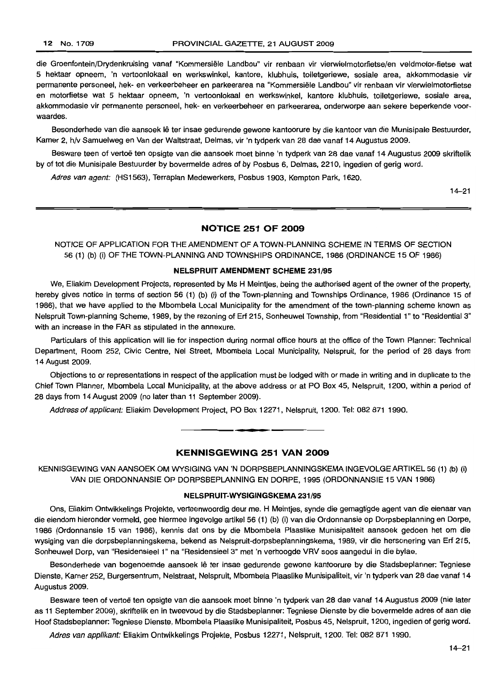die Groenfontein/Drydenkruising vanaf "Kommersiële Landbou" vir renbaan vir vierwielmotorfietse/en veldmotor-fietse wat 5 hektaar opneem, 'n vertoonlokaal en werkswinkel, kantore, klubhuis, toiletgeriewe, sosiale area, akkommodasie vir permanente personeel, hek- en verkeerbeheer en parkeerarea na "Kommersiële Landbou" vir renbaan vir vierwielmotorfietse en motorfietse wat 5 hektaar opneem, 'n vertoonlokaal en werkswinkel, kantore klubhuis, toiletgeriewe, sosiale area, akkommodasie vir permanente personeel, hek- en verkeerbeheer en parkeerarea, onderworpe aan sekere beperkende voorwaardes.

Besonderhede van die aansoek lê ter insae gedurende gewone kantoorure by die kantoor van die Munisipale Bestuurder, Kamer 2, h/v Samuelweg en Van der Waltstraat, Delmas, vir 'n tydperk van 28 dae vanaf 14 Augustus 2009.

Besware teen of vertoë ten opsigte van die aansoek moet binne 'n tydperk van 28 dae vanaf 14 Augustus 2009 skriftelik by of tot die Munisipale Bestuurder by bovermelde adres of by Posbus 6, Delmas, 2210, ingedien of gerig word.

Adres van agent: (HS1563), Terraplan Medewerkers, Posbus 1903, Kempton Park, 1620.

14-21

# **NOTICE 251 OF 2009**

NOTICE OF APPLICATION FOR THE AMENDMENT OF A TOWN-PLANNING SCHEME IN TERMS OF SECTION 56 (1) (b) (i) OF THE TOWN-PLANNING AND TOWNSHIPS ORDINANCE, 1986 (ORDINANCE 15 OF 1986)

### **NELSPRUIT AMENDMENT SCHEME** 231/95

We, Eliakim Development Projects, represented by Ms H Meintjes, being the authorised agent of the owner of the property, hereby gives notice in terms of section 56 (1) (b) (i) of the Town-planning and Townships Ordinance, 1986 (Ordinance 15 of 1986), that we have applied to the Mbombela Local Municipality for the amendment of the town-planning scheme known as Nelspruit Town-planning Scheme, 1989, by the rezoning of Erf 215, Sonheuwel Township, from "Residential 1" to "Residential 3" with an increase in the FAR as stipulated in the annexure.

Particulars of this application will lie for inspection during normal office hours at the office of the Town Planner: Technical Department, Room 252, Civic Centre, Nel Street, Mbombela Local Municipality, Nelspruit, for the period of 28 days from 14 August 2009.

Objections to or representations in respect of the application must be lodged with or made in writing and in duplicate to the Chief Town Planner, Mbombela Local Municipality, at the above address or at PO Box 45, Nelspruit, 1200, within a period of 28 days from 14 August 2009 (no later than 11 September 2009).

Address of applicant: Eliakim Development Project, PO Box 12271, Nelspruit, 1200. Tel: 082 871 1990. .**-.**

#### **KENNISGEWING 251 VAN 2009**

KENNISGEWING VAN AANSOEK OM WYSIGING VAN 'N DORPSBEPLANNINGSKEMA INGEVOLGE ARTIKEL 56 (1) (b) (i) VAN DIE ORDONNANSIE OP DORPSBEPLANNING EN DORPE, 1995 (ORDONNANSIE 15 VAN 1986)

#### **NELSPRUIT·WYSIGINGSKEMA** 231/95

Ons, Eliakim Ontwikkelings Projekte, verteenwoordig deur me. H Meintjes, synde die gemagtigde agent van die eienaar van die eiendom hieronder vermeld, gee hiermee ingevolge artikel 56 (1) (b) (i) van die Ordonnansie op Dorpsbeplanning en Dorpe, 1986 (Ordonnansie 15 van 1986), kennis dat ons by die Mbombela Plaaslike Munisipaliteit aansoek gedoen het om die wysiging van die dorpsbeplanningskema, bekend as Nelspruit-dorpsbeplanningskema, 1989, vir die hersonering van Erf 215, Sonheuwel Dorp, van "Residensieel 1" na "Residensieel 3" met 'n verhoogde VRV soos aangedui in die bylae.

Besonderhede van bogenoemde aansoek Ie ter insae gedurende gewone kantoorure by die Stadsbeplanner: Tegniese Dienste, Kamer 252, Burgersentrum, Nelstraat, Nelspruit, Mbombela Plaaslike Munisipaliteit, vir 'n tydperk van 28 dae vanaf 14 Augustus 2009.

Besware teen of vertoe ten opsigte van die aansoek moet binne 'n tydperk van 28 dae vanaf 14 Augustus 2009 (nie later as 11 September 2009), skriftelik en in tweevoud by die Stadsbeplanner: Tegniese Dienste by die bovermelde adres of aan die Hoof Stadsbeplanner: Tegniese Dienste, Mbombela Plaaslike Munisipaliteit, Posbus 45, Nelspruit, 1200, ingedien of gerig word.

Adres van applikant: Eliakim Ontwikkelings Projekte, Posbus 12271, Nelspruit, 1200. Tel: 082 871 1990.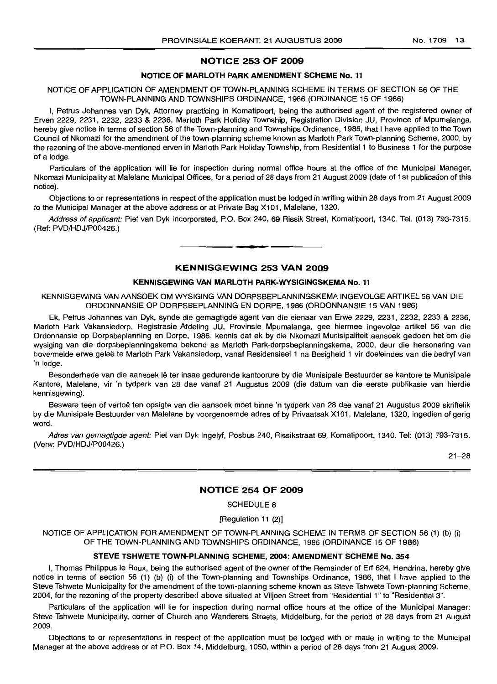# NOTICE 253 OF 2009

#### NOTICE OF MARLOTH PARK AMENDMENT SCHEME No. 11

#### NOTICE OF APPLICATION OF AMENDMENT OF TOWN-PLANNING SCHEME IN TERMS OF SECTION 56 OF THE TOWN-PLANNING AND TOWNSHIPS ORDINANCE, 1986 (ORDINANCE 15 OF 1986)

I, Petrus Johannes van Dyk, Attorney practicing in Komatipoort, being the authorised agent of the registered owner of Erven 2229, 2231, 2232, 2233 & 2236, Marloth Park Holiday Township, Registration Division JU, Province of Mpumalanga, hereby give notice in terms of section 56 of the Town-planning and Townships Ordinance, 1986, that I have applied to the Town Council of Nkomazi for the amendment of the town-planning scheme known as Marloth Park Town-planning Scheme, 2000, by the rezoning of the above-mentioned erven in Marloth Park Holiday Township, from Residential 1 to Business 1 for the purpose of a lodge.

Particulars of the application will lie for inspection during normal office hours at the office of the Municipal Manager, Nkomazi Municipality at Malelane Municipal Offices, for a period of 28 days from 21 August 2009 (date of 1st publication of this notice).

Objections to or representations in respect of the application must be lodged in writing within 28 days from 21 August 2009 to the Municipal Manager at the above address or at Private Bag X101, Malelane, 1320.

Address of applicant: Piet van Dyk Incorporated, P.O. Box 240, 69 Rissik Street, Komatipoort, 1340. Tel. (013) 793-7315. (Ref: PVD/HDJ/P00426.) **-.**

### KENNISGEWING 253 VAN 2009

### KENNISGEWING VAN MARLOTH PARK-WYSIGINGSKEMA No. 11

KENNISGEWING VAN AANSOEK OM WYSIGING VAN DORPSBEPLANNINGSKEMA INGEVOLGE ARTIKEL 56 VAN DIE ORDONNANSIE OP DORPSBEPLANNING EN DORPE, 1986 (ORDONNANSIE 15 VAN 1986)

Ek, Petrus Johannes van Dyk, synde die qemaqtiqde agent van die eienaar van Erwe 2229, 2231, 2232, 2233 & 2236, Marloth Park Vakansiedorp, Registrasie Afdeling JU, Provinsie Mpumalanga, gee hiermee ingevolge artikel 56 van die Ordonnansie op Dorpsbeplanning en Dorpe, 1986, kennis dat ek by die Nkomazi Munisipaliteit aansoek gedoen het om die wysiging van die dorpsbeplanningskema bekend as Marloth Park-dorpsbeplanningskema, 2000, deur die hersonering van bovermelde erwe gelee te Marloth Park Vakansiedorp, vanaf Residensieel 1 na Besigheid 1 vir doeleindes van die bedryf van 'n lodge.

Besonderhede van die aansoek lê ter insae gedurende kantoorure by die Munisipale Bestuurder se kantore te Munisipale Kantore, Malelane, vir 'n tydperk van 28 dae vanaf 21 Augustus 2009 (die datum van die eerste publikasie van hierdie kennisgewing).

Besware teen of vertoë ten opsigte van die aansoek moet binne 'n tydperk van 28 dae vanaf 21 Augustus 2009 skriftelik by die Munisipale Bestuurder van Malelane by voorqenoernde adres of by Privaatsak X101, Malelane, 1320, ingedien of gerig word.

Adres van gemagtigde agent: Piet van Dyk Ingelyf, Posbus 240, Rissikstraat 69, Komatipoort, 1340. Tel: (013) 793-7315. (Verw: PVD/HDJ/P00426.)

 $21 - 28$ 

# NOTICE 254 OF 2009

SCHEDULE 8

[Regulation 11 (2)]

NOTICE OF APPLICATION FOR AMENDMENT OF TOWN-PLANNING SCHEME IN TERMS OF SECTION 56 (1) (b) (i) OF THE TOWN-PLANNING AND TOWNSHIPS ORDINANCE, 1986 (ORDINANCE 15 OF 1986)

### STEVE TSHWETE TOWN-PL.ANNING SCHEME, 2004: AMENDMENT SCHEME No. 354

I, Thomas Philippus Ie Roux, being the authorised agent of the owner of the Remainder of Erf 624, Hendrina, hereby give notice in terms of section 56 (1) (b) (i) of the Town-planning and Townships Ordinance, 1986, that I have applied to the Steve Tshwete Municipality for the amendment of the town-planning scheme known as Steve Tshwete Town-planning Scheme, 2004, for the rezoning of the property described above situated at Viljoen Street from "Residential 1" to "Residential 3".

Particulars of the application will lie for inspection during normal office hours at the office of the Municipal Manager: Steve Tshwete Municipality, corner of Church and Wanderers Streets, Middelburg, for the period of 28 days from 21 August 2009.

Objections to or representations in respect of the application must be lodged with or made in writing to the Municipal Manager at the above address or at P.O. Box 14, Middelburg, 1050, within a period of 28 days from 21 August 2009.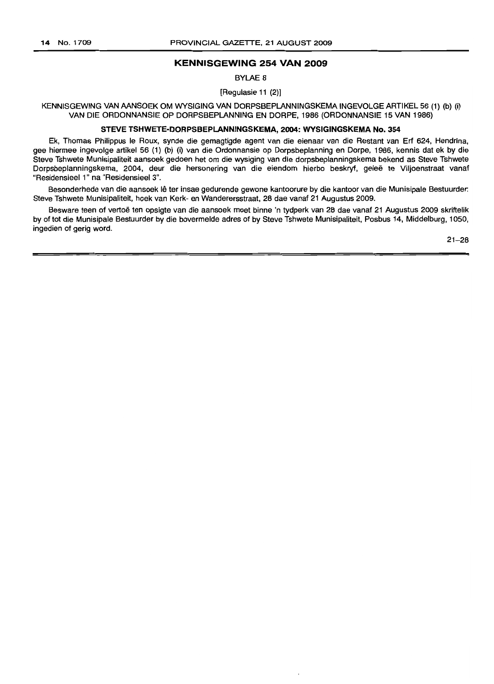#### **KENNISGEWING 254 VAN 2009**

BYLAE 8

[Regulasie 11 (2)]

KENNISGEWING VAN AANSOEK OM WYSIGING VAN DORPSBEPLANNINGSKEMA INGEVOLGE ARTIKEL 56 (1) (b) (i) VAN DIE ORDONNANSIE OP DORPSBEPLANNING EN DORPE, 1986 (ORDONNANSIE 15 VAN 1986)

#### **STEVE TSHWETE-DORPSBEPLANNINGSKEMA,** 2004: **WYSIGINGSKEMA** No. 354

Ek, Thomas Philippus Ie Roux, synde die gemagtigde agent van die eienaar van die Restant van Erf 624, Hendrina, gee hiermee ingevolge artikel 56 (1) (b) (i) van die Ordonnansie op Dorpsbeplanning en Dorpe, 1986, kennis dat ek by die Steve Tshwete Munisipaliteit aansoek gedoen het om die wysiging van die dorpsbeplanningskema bekend as Steve Tshwete Dorpsbeplanningskema, 2004, deur die hersonering van die eiendom hierbo beskryf, gelee te Viljoenstraat vanaf "ResidensieeI1" na "ResidensieeI3".

Besonderhede van die aansoek lê ter insae gedurende gewone kantoorure by die kantoor van die Munisipale Bestuurder: Steve Tshwete Munisipaliteit, hoek van Kerk- en Wanderersstraat, 28 dae vanaf 21 Augustus 2009.

Besware teen of vertoe ten opsigte van die aansoek moet binne 'n tydperk van 28 dae vanaf 21 Augustus 2009 skriftelik by of tot die Munisipale Bestuurder by die bovermelde adres of by Steve Tshwete Munisipaliteit, Posbus 14, Middelburg, 1050, ingedien of gerig word.

 $21 - 28$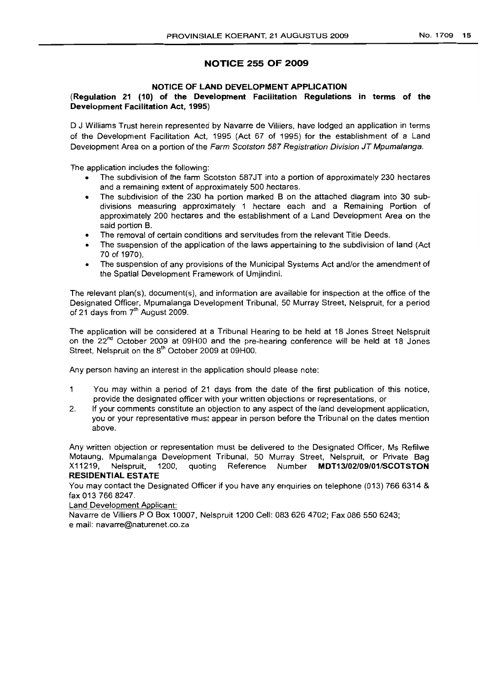# **NOTICE 255 OF 2009**

### **NOTICE OF LAND DEVELOPMENT APPLICATION**

# **(Regulation 21 (10) of the Development Facilitation Regulations in terms of the Development Facilitation Act, 1995)**

D J Williams Trust herein represented by Navarre de Villiers, have lodged an application in terms of the Development Facilitation Act, 1995 (Act 67 of 1995) for the establishment of a Land Development Area on a portion of the Farm Scotston 587 Registration Division JT Mpumalanga.

The application includes the following:

- The subdivision of the farm Scotston 587JT into a portion of approximately 230 hectares and a remaining extent of approximately 500 hectares.
- The subdivision of the 230 ha portion marked B on the attached diagram into 30 subdivisions measuring approximately 1 hectare each and a Remaining Portion of approximately 200 hectares and the establishment of a Land Development Area on the said portion B.
- The removal of certain conditions and servitudes from the relevant Title Deeds.
- The suspension of the application of the laws appertaining to the subdivision of land (Act 70 of 1970).
- The suspension of any provisions of the Municipal Systems Act and/or the amendment of the Spatial Development Framework of Umjindini.

The relevant plan(s), document(s), and information are available for inspection at the office of the Designated Officer, Mpumalanga Development Tribunal, 50 Murray Street, Nelspruit, for a period of 21 days from 7<sup>th</sup> August 2009.

The application will be considered at a Tribunal Hearing to be held at 18 Jones Street Nelspruit on the 22<sup>nd</sup> October 2009 at 09H00 and the pre-hearing conference will be held at 18 Jones Street, Nelspruit on the 8<sup>th</sup> October 2009 at 09H00.

Any person having an interest in the application should please note:

- $\mathbf{1}$ You may within a period of 21 days from the date of the first publication of this notice, provide the designated officer with your written objections or representations, or
- 2. If your comments constitute an objection to any aspect of the land development application, you or your representative must appear in person before the Tribunal on the dates mention above.

Any written objection or representation must be delivered to the Designated Officer, Ms Refilwe Motaung, Mpumalanga Development Tribunal, 50 Murray Street, Nelspruit, or Private Bag X11219, Nelspruit, 1200, quoting Reference Number **MDT13/02/09/01/SCOTSTON RESIDENTIAL ESTATE**

You may contact the Designated Officer if you have any enquiries on telephone (013) 766 6314 & fax 0137668247.

Land Development Applicant:

Navarre de Villiers P O Box 10007, Nelspruit 1200 Cell: 083 626 4702; Fax 086 550 6243; email: navarre@naturenet.co.za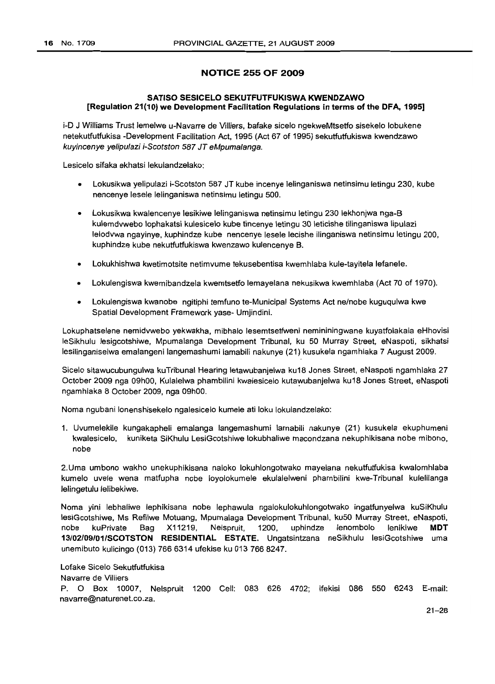# **NOTICE 255 OF 2009**

# **SATISO SESICELO SEKUTFUTFUKISWA KWENDZAWO [Regulation 21(10) we Development Facilitation Regulations in terms of the DFA, 1995]**

i-D J Williams Trust lemelwe u-Navarre de Villiers, bafake sicelo ngekweMtsetfo sisekelo lobukene netekutfutfukisa -Development Facilitation Act, 1995 (Act 67 of 1995) sekutfutfukiswa kwendzawo kuyineenye yelipulazi i-Seotston 587 JT eMpumalanga.

Lesicelo sifaka ekhatsi lekulandzelako:

- Lokusikwa yelipulazi i-Scotston 587 JT kube incenye lelinganiswa netinsimu letingu 230, kube nencenye lesele lelinganiswa netinsimu letingu 500.
- Lokusikwa kwalencenye lesikiwe lelinganiswa netinsimu letingu 230 lekhonjwa nga-B kulemdvwebo lophakatsi kulesicelo kube tincenye letingu 30 leticishe tilinganiswa lipulazi lelodvwa ngayinye, kuphindze kube nencenye lesele lecishe ilinganiswa netinsimu letingu 200, kuphindze kube nekutfutfukiswa kwenzawo kulencenye 8.
- Lokukhishwa kwetimotsite netimvume tekusebentisa kwemhlaba kule-tayitela lefanele.
- Lokulengiswa kwemibandzela kwemtsetfo lemayelana nekusikwa kwemhlaba (Act 70 of 1970).
- Lokulengiswa kwanobe ngitiphi temfuno te-Municipal Systems Act ne/nobe kuguqulwa kwe Spatial Development Framework yase- Umjindini.

Lokuphatselene nemidvwebo yekwakha, mibhalo lesemtsetfweni nemininingwane kuyatfolakala eHhovisi leSikhulu lesigcotshiwe, Mpumalanga Development Tribunal, ku 50 Murray Street, eNaspoti, sikhatsi lesilinganiselwa emalangeni langemashumi lamabili nakunye (21) kusukela ngamhlaka 7 August 2009.

Sicelo sitawucubungulwa kuTribunal Hearing letawubanjelwa ku18 Jones Street, eNaspoti ngamhlaka 27 October 2009 nga 09hOO, Kulalelwa phambilini kwalesicelo kutawubanjelwa ku18 Jones Street, eNaspoti ngamhlaka 8 October 2009, nga 09hOO.

Noma ngubani lonenshisekelo ngalesicelo kumele ati loku lokulandzelako:

1. Uvumelekile kungakapheli emalanga langemashumi lamabili nakunye (21) kusukela ekuphumeni kwalesicelo, kuniketa SiKhulu LesiGcotshiwe lokubhaliwe macondzana nekuphikisana nobe mibono, nobe

2.Uma umbono wakho unekuphikisana naloko lokuhlongotwako mayelana nekutfutfukisa kwalomhlaba kumelo uvele wena matfupha nobe loyolokumele ekulalelweni phambilini kwe-Tribunal kulelilanga lelingetulu lelibekiwe.

Noma yini lebhaliwe lephikisana nobe lephawula ngalokulokuhlongotwako ingatfunyelwa kuSiKhulu lesiGcotshiwe, Ms Refilwe Motuang, Mpumalaga Development Tribunal, ku50 Murray Street, eNaspoti, nobe kuPrivate Bag X11219, Nelspruit, 1200, uphindze lenombolo lenikiwe **MDT 13/02/09/01/SCOTSTON RESIDENTIAL ESTATE.** Ungatsintzana neSikhulu lesiGcotshiwe uma unemibuto kulicingo (013) 766 6314 ufekise ku 013 766 8247.

Lofake Sicelo Sekutfutfukisa

Navarre de Villiers

P. 0 Box 10007, Nelspruit 1200 Cell: 083 626 4702; ifekisi 086 550 6243 E-mail: navarre@naturenet.co.za.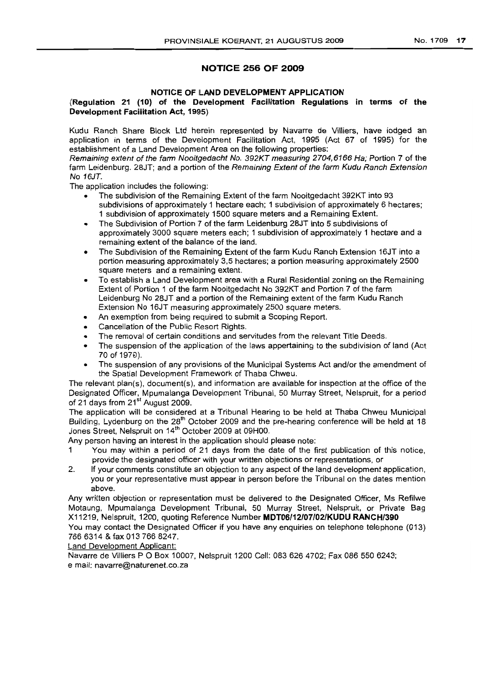# **NOTICE 256 OF 2009**

#### **NOTICE OF ILAND DEVELOPMENT APPLICATION**

### **(Regulation 21 (10) of the Development Facilitation Regulations in terms of the Development Facilitation Act, 1995)**

Kudu Ranch Share Block Ltd herein represented by Navarre de Villiers, have lodged an application in terms of the Development Facilitation Act, 1995 (Act 67 of 1995) for the establishment of a Land Development Area on the following properties:

Remaining extent of the farm Nooitgedacht No. 392KT measuring 2704,6166 Ha; Portion 7 of the farm Leidenburg. 28JT; and a portion of the Remaining Extent of the farm Kudu Ranch Extension No 16JT.

The application includes the following:

- The subdivision of the Remaining Extent of the farm Nooitgedacht 392KT into 93 subdivisions of approximately 1 hectare each; 1 subdivision of approximately 6 hectares; 1 subdivision of approximately 1500 square meters and a Remaining Extent.
- The Subdivision of Portion '7 of the farm Leidenburg 28JT into 5 subdivisions of approximately 3000 square meters each; 1 subdivision of approximately 1 hectare and a remaining extent of the balance of the land.
- The Subdivision of the Remaining Extent of the farm Kudu Ranch Extension 16JT into a portion measuring approximately 3,5 hectares; a portion measuring approximately 2500 square meters and a remaining extent.
- To establish a Land Development area with a Rural Residential zoning on the Remaining Extent of Portion 1 of the farm Nooitgedacht No 392KT and Portion 7 of the farm Leidenburg No 28JT and a portion of the Remaining extent of the farm Kudu Ranch Extension No 16JT measuring approximately 2500 square meters.
- An exemption from being required to submit a Scoping Report.
- Cancellation of the Public Resort Rights.
- The removal of certain conditions and servitudes from the relevant Title Deeds,
- The suspension of the application of the laws appertaining to the subdivision of land (Act 70 of 1970).
- The suspension of any provisions of the Municipal Systems Act and/or the amendment of the Spatial Development Framework of Thaba Chweu.

The relevant plan(s), document(s), and information are available for inspection at the office of the Designated Officer, Mpumalanga Development Tribunal, 50 Murray Street, Nelspruit, for a period of 21 days from 21<sup>st</sup> August 2009.

The application will be considered at a Tribunal Hearing to be held at Thaba Chweu Municipal Building, Lydenburg on the 28<sup>th</sup> October 2009 and the pre-hearing conference will be held at 18 Jones Street, Nelspruit on 14<sup>th</sup> October 2009 at 09H00.

Any person having an interest in the application should please note:

- 1 You may within a period of 21 days from the date of the first publication of this notice, provide the designated officer with your written objections or representations. or
- 2. If your comments constitute an objection to any aspect of the land development application, you or your representative must appear in person before the Tribunal on the dates mention above.

Any written objection or representation must be delivered to the Designated Officer, Ms Refilwe Motaung, Mpumalanga Development Tribunal, 50 Murray Street, Nelspruit, or Private Bag X11219, Nelspruit, 1200, quoting Reference Number **MDT06/12/07/02/KUDU RANCH/390**

You may contact the Designated Officer if you have any enquiries on telephone telephone (013) 7666314 & fax 0137668247.

Land Development Applicant:

Navarre de Villiers P O Box 10007, Nelspruit 1200 Cell: 083 626 4702; Fax 086 550 6243; email: navarre@naturenet.co.za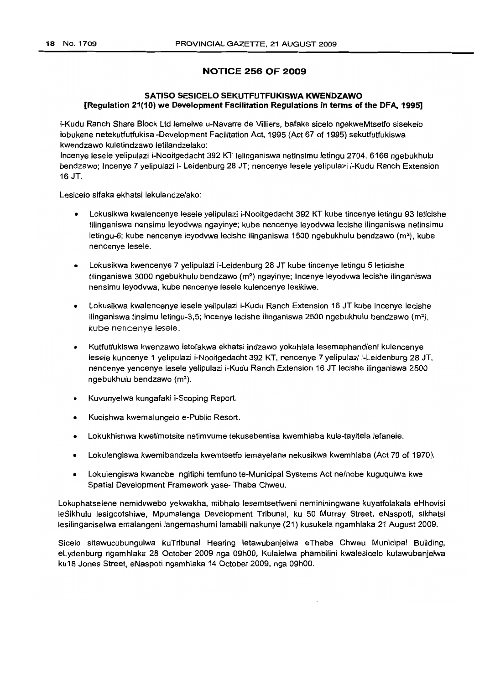# **NOTICE 256 OF 2009**

# **SATISO SESICELO SEKUTFUTFUKISWA KWENDZAWO [Regulation 21(10) we Development Facilitation Regulations in terms of the DFA, 1995]**

i-Kudu Ranch Share Block Ltd leme/we u-Navarre de Villiers, bafake sicelo ngekweMtsetfo sisekelo lobukene netekutfutfukisa -Development Facilitation Act, 1995 (Act 67 of 1995) sekutfutfukiswa kwendzawo kuletindzawo letilandzelako:

Incenye lesele yelipulazi i-Nooitgedacht 392 KT lelinganiswa netinsimu letingu 2704, 6166 ngebukhulu bendzawo; Incenye 7 yelipulazi i- Leidenburg 28 JT; nencenye lesele yelipulazi i-Kudu Ranch Extension 16 JT.

Lesicelo sifaka ekhatsi lekulandzelako:

- Lokusikwa kwalencenye lesele yelipulazi i-Nooitgedacht 392 KT kube tincenye letingu 93 leticishe tilinganiswa nensimu leyodvwa ngayinye; kube nencenye leyodvwa lecishe ilinganiswa netinsimu letingu-6; kube nencenye leyodywa lecishe ilinganiswa 1500 ngebukhulu bendzawo ( $m<sup>2</sup>$ ), kube nencenye lesele.
- Lokusikwa kwencenye 7 yelipulazi i-Leidenburg 28 JT kube tincenye letingu 5 leticishe tilinganiswa 3000 ngebukhulu bendzawo (m<sup>2</sup>) ngayinye; Incenye leyodvwa lecishe ilinganiswa nensimu leyodvwa, kube nencenye lesele kulencenye lesikiwe.
- Lokusikwa kwalencenye lesele yelipulazi i-Kudu Ranch Extension 16 JT kube incenye lecishe ilinganiswa tinsimu letingu-3,5; Incenye lecishe ilinganiswa 2500 ngebukhulu bendzawo  $(m^2)$ , kube nencenye lesele.
- Kutfutfukiswa kwenzawo letofakwa ekhatsi indzawo yokuhlala lesemaphandleni kulencenye lesele kuncenye 1 yelipulazi i-Nooitgedacht 392 KT, nencenye 7 yelipulazi i-Leidenburg 28 JT, nencenye yencenye lesele yelipulazi i-Kudu Ranch Extension 16 JT lecishe i1inganiswa 2500 ngebukhulu bendzawo (m<sup>2</sup>).
- Kuvunyelwa kungafaki i-Scoping Report.
- Kucishwa kwemalungelo e-Public Resort.
- Lokukhishwa kwetimotsite netimvume tekusebentisa kwemhlaba kule-tayitela lefanele.
- Lokulengiswa kwemibandzela kwemtsetfo lemayelana nekusikwa kwemhlaba (Act 70 of 1970).
- Lokulengiswa kwanobe ngitiphi temfuno te-Municipal Systems Act ne/nobe kuguqulwa kwe Spatial Development Framework yase- Thaba Chweu.

Lokuphatselene nemidvwebo yekwakha, mibhalo lesemtsetfweni nemininingwane kuyatfolakala eHhovisi leSikhulu lesigcotshiwe, Mpumalanga Development Tribunal, ku 50 Murray Street, eNaspoti, sikhatsi lesilinganiselwa emalangeni langemashumi lamabili nakunye (21) kusukela ngamhlaka 21 August 2009.

Sicelo sitawucubungulwa kuTribunal Hearing letawubanjelwa eThaba Chweu Municipal Building, eLydenburg ngamhlaka 28 October 2009 nga 09hOO, Kulalelwa phambilini kwalesicelo kutawubanjelwa ku18 Jones Street, eNaspoti ngamhlaka 14 October 2009, nga 09hOO.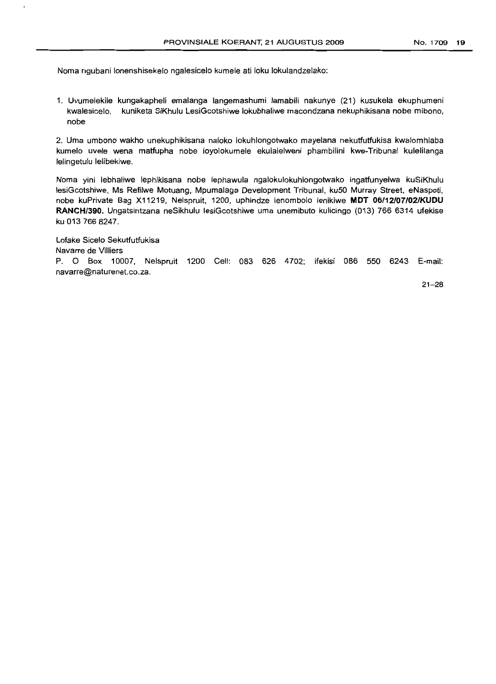Noma ngubani lonenshisekelo ngalesicelo kumele ati loku lokulandzelako:

1. Uvumelekile kungakapheli emalanga langemashumi lamabili nakunye (21) kusukela ekuphumeni kwalesicelo, kuniketa SiKhulu LesiGcotshiwe lokubhaliwe macondzana nekuphikisana nobe mibono, nobe

2. Uma umbono wakho unekuphikisana naloko lokuhlongotwako mayelana nekutfutfukisa kwalomhlaba kumelo uvele wena matfupha nobe loyolokumele ekulalelweni phambilini kwe-Tribunal kulelilanga lelingetulu lelibekiwe.

Noma yini lebhaliwe lephikisana nobe lephawula ngalokulokuhlongotwako ingatfunyelwa kuSiKhulu lesiGcotshiwe, Ms Refilwe Motuang, Mpumalaga Development Tribunal, ku50 Murray Street. eNaspoti, nobe kuPrivate Bag X11219, Nelspruit, 1200, uphindze lenombolo lenikiwe **MDT 06/12/07/02/KUDU RANCH/390.** Ungatsintzana neSikhulu lesiGcotshiwe uma unemibuto kulicingo (013) 766 6314 ufekise ku 013 766 8247.

Lofake Sicelo Sekutfutfukisa Navarre de Villiers P. O Box 10007, Nelspruit 1200 Cell: 083 626 4702; ifekisi 086 550 6243 E-mail: navarre@naturenet.co.za.

21-28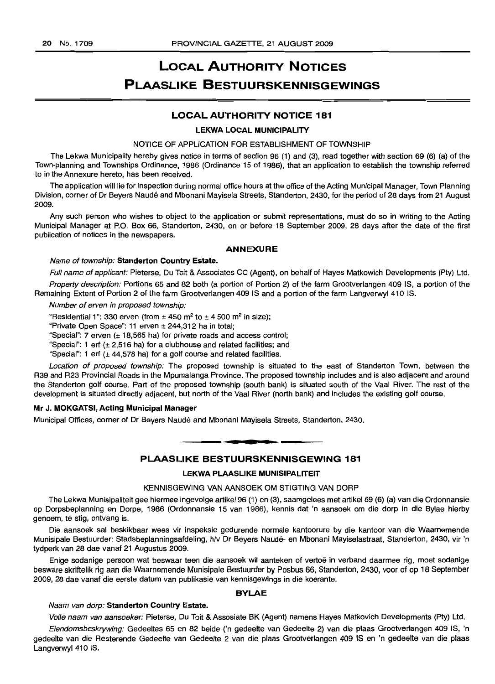# **LOCAL AUTHORITY NOTICES PLAASLIKE BESTUURSKENNISGEWINGS**

# **LOCAL AUTHORITY NOTICE 181**

#### **LEKWA LOCAL MUNICIPALITY**

NOTICE OF APPLICATION FOR ESTABLISHMENT OF TOWNSHIP

The Lekwa Municipality hereby gives notice in terms of section 96 (1) and (3), read together with section 69 (6) (a) of the Town-planning and Townships Ordinance, 1986 (Ordinance 15 of 1986), that an application to establish the township referred to in the Annexure hereto, has been received.

The application will lie for inspection during normal office hours at the office of the Acting Municipal Manager, Town Planning Division, corner of Dr Beyers Naude and Mbonani Mayisela Streets, Standerton, 2430, for the period of 28 days from 21 August 2009.

Any such person who wishes to object to the application or submit representations, must do so in writing to the Acting Municipal Manager at P.O. Box 66, Standerton, 2430, on or before 18 September 2009, 28 days after the date of the first publication of notices in the newspapers.

#### **ANNEXURE**

#### Name of township: **Standerton Country Estate.**

Full name of applicant: Pieterse, Du Toit & Associates CC (Agent), on behalf of Hayes Matkowich Developments (Pty) Ltd. Property description: Portions 65 and 82 both (a portion of Portion 2) of the farm Grootverlangen 409 IS, a portion of the

Remaining Extent of Portion 2 of the farm Grootverlangen 409 IS and a portion of the farm Langverwyl 410 IS.

Number of erven in proposed township:

"Residential 1": 330 erven (from  $\pm$  450 m<sup>2</sup> to  $\pm$  4 500 m<sup>2</sup> in size):

"Private Open Space": 11 erven ± 244,312 ha in total;

"Special": 7 erven (± 18,565 hal for private roads and access control;

"Special": 1 erf  $(\pm 2.516$  ha) for a clubhouse and related facilities; and

"Special": 1 erf  $(\pm 44,578$  ha) for a golf course and related facilities.

Location of proposed township: The proposed township is situated to the east of Standerton Town, between the R39 and R23 Provincial Roads in the Mpumalanga Province. The proposed township includes and is also adjacent and around the Standerton golf course. Part of the proposed township (south bank) is situated south of the Vaal River. The rest of the development is situated directly adjacent, but north of the Vaal River (north bank) and includes the existing golf course.

#### **Mr J. MOKGATSI, Acting Municipal Manager**

Municipal Offices, corner of Dr Beyers Naude and Mbonani Mayisela Streets, Standerton, 2430.

# -**. . PLAASLIKE BESTUURSKENNISGEWING 181**

#### **LEKWA PLAASLIKE MUNISIPALITEIT**

#### KENNISGEWING VAN AANSOEK OM STIGTING VAN DORP

The Lekwa Munisipaliteit gee hiermee ingevolge artikel 96 (1) en (3), saamgelees met artikel 69 (6) (a) van die Ordonnansie op Dorpsbeplanning en Dorpe, 1986 (Ordonnansie 15 van 1986), kennis dat 'n aansoek om die dorp in die Bylae hierby genoem, te stig, ontvang is.

Die aansoek sal beskikbaar wees vir inspeksie gedurende normale kantoorure by die kantoor van die Waarnemende Munisipale Bestuurder: Stadsbeplanningsafdeling, h/v Dr Beyers Naude- en Mbonani Mayiselastraat, Standerton, 2430, vir 'n tydperk van 28 dae vanaf 21 Augustus 2009.

Enige sodanige persoon *wat* beswaar teen die aansoek wil aanteken of vertoe in verband daarmee rig, moet sodanige besware skriftelik rig aan die Waarnemende Munisipale Bestuurder by Posbus 66, Standerton, 2430, voor of op 18 September 2009, 28 dae vanaf die eerste datum van publikasie van kennisgewings in die koerante.

#### **BYLAE**

#### Naam van dorp: **Standerton Country Estate.**

Volle naam van aansoeker: Pieterse, Du Toit & Assosiate BK (Agent) namens Hayes Matkovich Developments (Pty) Ltd.

Eiendomsbeskrywing: Gedeeltes 65 en 82 beide ('n gedeelte van Gedeelte 2) van die plaas Grootverlangen 409 IS, 'n gedeelte van die Resterende Gedeelte van Gedeelte 2 van die plaas Grootverlangen 409 IS en 'n gedeelte van die plaas Langverwyl 410 IS.